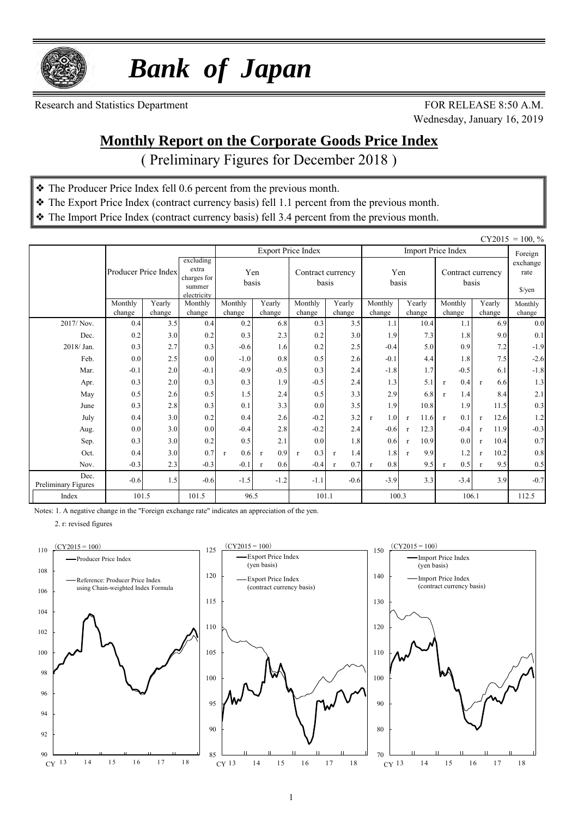

 *Bank of Japan*

Research and Statistics Department FOR RELEASE 8:50 A.M.

Wednesday, January 16, 2019

#### **Monthly Report on the Corporate Goods Price Index**

( Preliminary Figures for December 2018 )

- ❖ The Producer Price Index fell 0.6 percent from the previous month.
- ❖ The Export Price Index (contract currency basis) fell 1.1 percent from the previous month.
- ❖ The Import Price Index (contract currency basis) fell 3.4 percent from the previous month.

|                             |                      |               |                                                            |                     |                                            |                           |                     |                     |                      |                            |                                     | $CY2015 = 100, \%$ |
|-----------------------------|----------------------|---------------|------------------------------------------------------------|---------------------|--------------------------------------------|---------------------------|---------------------|---------------------|----------------------|----------------------------|-------------------------------------|--------------------|
|                             |                      |               |                                                            |                     |                                            | <b>Export Price Index</b> |                     |                     |                      | <b>Import Price Index</b>  |                                     | Foreign            |
|                             | Producer Price Index |               | excluding<br>extra<br>charges for<br>summer<br>electricity |                     | Yen<br>Contract currency<br>basis<br>basis |                           |                     | Yen<br>basis        |                      | Contract currency<br>basis | exchange<br>rate<br>$\sqrt{\gamma}$ |                    |
|                             | Monthly              | Yearly        | Monthly                                                    | Monthly             | Yearly                                     | Monthly                   | Yearly              | Monthly             | Yearly               | Monthly                    | Yearly                              | Monthly            |
| 2017/Nov.                   | change<br>0.4        | change<br>3.5 | change<br>0.4                                              | change<br>0.2       | change<br>6.8                              | change<br>0.3             | change<br>3.5       | change<br>1.1       | change<br>10.4       | change<br>1.1              | change<br>6.9                       | change<br>0.0      |
| Dec.                        | 0.2                  | 3.0           | 0.2                                                        | 0.3                 | 2.3                                        | 0.2                       | 3.0                 | 1.9                 | 7.3                  | 1.8                        | 9.0                                 | 0.1                |
| 2018/Jan.                   |                      |               |                                                            |                     |                                            |                           |                     |                     |                      |                            |                                     |                    |
|                             | 0.3                  | 2.7           | 0.3                                                        | $-0.6$              | 1.6                                        | 0.2                       | 2.5                 | $-0.4$              | 5.0                  | 0.9                        | 7.2                                 | $-1.9$             |
| Feb.                        | 0.0                  | 2.5           | 0.0                                                        | $-1.0$              | 0.8                                        | 0.5                       | 2.6                 | $-0.1$              | 4.4                  | 1.8                        | 7.5                                 | $-2.6$             |
| Mar.                        | $-0.1$               | 2.0           | $-0.1$                                                     | $-0.9$              | $-0.5$                                     | 0.3                       | 2.4                 | $-1.8$              | 1.7                  | $-0.5$                     | 6.1                                 | $-1.8$             |
| Apr.                        | 0.3                  | 2.0           | 0.3                                                        | 0.3                 | 1.9                                        | $-0.5$                    | 2.4                 | 1.3                 | 5.1                  | 0.4<br>$\mathbf{r}$        | 6.6<br>$\mathbf{r}$                 | 1.3                |
| May                         | 0.5                  | 2.6           | 0.5                                                        | 1.5                 | 2.4                                        | 0.5                       | 3.3                 | 2.9                 | 6.8                  | 1.4<br>$\mathbf{r}$        | 8.4                                 | $2.1$              |
| June                        | 0.3                  | 2.8           | 0.3                                                        | 0.1                 | 3.3                                        | 0.0                       | 3.5                 | 1.9                 | 10.8                 | 1.9                        | 11.5                                | 0.3                |
| July                        | 0.4                  | 3.0           | 0.2                                                        | 0.4                 | 2.6                                        | $-0.2$                    | 3.2                 | 1.0<br>$\mathbf{r}$ | 11.6<br>$\mathbf{r}$ | 0.1<br>$\mathbf{r}$        | 12.6<br>$\mathbf{r}$                | 1.2                |
| Aug.                        | 0.0                  | 3.0           | 0.0                                                        | $-0.4$              | 2.8                                        | $-0.2$                    | 2.4                 | $-0.6$              | 12.3<br>$\mathbf{r}$ | $-0.4$                     | 11.9<br>$\mathbf{r}$                | $-0.3$             |
| Sep.                        | 0.3                  | 3.0           | 0.2                                                        | 0.5                 | 2.1                                        | 0.0                       | 1.8                 | 0.6                 | 10.9<br>$\mathbf{r}$ | 0.0                        | 10.4<br>$\mathbf{r}$                | 0.7                |
| Oct.                        | 0.4                  | 3.0           | 0.7                                                        | 0.6<br>$\mathbf{r}$ | 0.9<br>$\mathbf{r}$                        | 0.3<br>$\mathbf{r}$       | 1.4<br>$\mathbf{r}$ | 1.8                 | 9.9<br>$\mathbf{r}$  | 1.2                        | 10.2<br>$\mathbf{r}$                | $0.8\,$            |
| Nov.                        | $-0.3$               | 2.3           | $-0.3$                                                     | $-0.1$              | 0.6<br>$\mathbf{r}$                        | $-0.4$                    | 0.7<br>$\mathbf{r}$ | 0.8<br>$\mathbf{r}$ | 9.5                  | 0.5<br>$\mathbf{r}$        | 9.5<br>$\mathbf{r}$                 | 0.5                |
| Dec.<br>Preliminary Figures | $-0.6$               | 1.5           | $-0.6$                                                     | $-1.5$              | $-1.2$                                     | $-1.1$                    | $-0.6$              | $-3.9$              | 3.3                  | $-3.4$                     | 3.9                                 | $-0.7$             |
| Index                       | 101.5                |               | 101.5                                                      | 96.5                |                                            | 101.1                     |                     | 100.3               |                      | 106.1                      |                                     | 112.5              |

Notes: 1. A negative change in the "Foreign exchange rate" indicates an appreciation of the yen.

2. r: revised figures





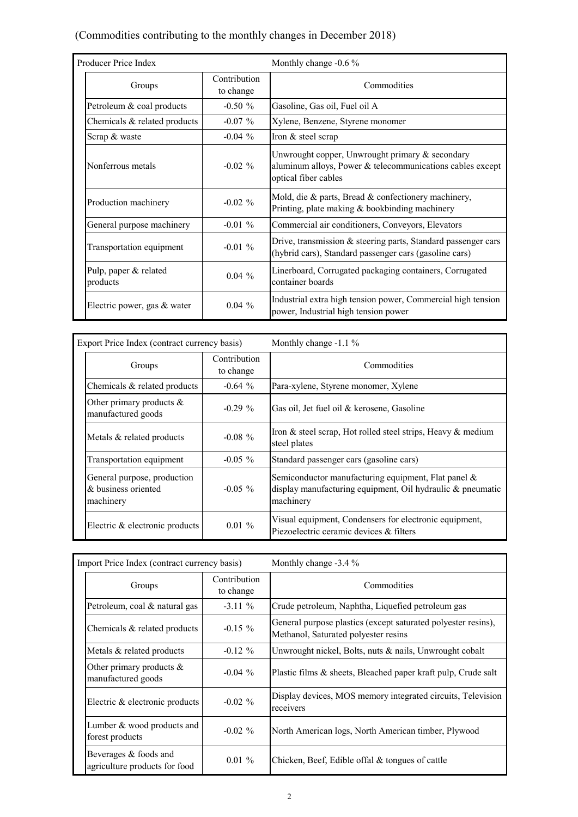#### (Commodities contributing to the monthly changes in December 2018)

| Producer Price Index              |                           | Monthly change -0.6 %                                                                                                                |
|-----------------------------------|---------------------------|--------------------------------------------------------------------------------------------------------------------------------------|
| Groups                            | Contribution<br>to change | Commodities                                                                                                                          |
| Petroleum & coal products         | $-0.50 \%$                | Gasoline, Gas oil, Fuel oil A                                                                                                        |
| Chemicals & related products      | $-0.07\%$                 | Xylene, Benzene, Styrene monomer                                                                                                     |
| Scrap & waste                     | $-0.04\%$                 | Iron & steel scrap                                                                                                                   |
| Nonferrous metals                 | $-0.02\%$                 | Unwrought copper, Unwrought primary & secondary<br>aluminum alloys, Power & telecommunications cables except<br>optical fiber cables |
| Production machinery              | $-0.02 \%$                | Mold, die & parts, Bread & confectionery machinery,<br>Printing, plate making $\&$ bookbinding machinery                             |
| General purpose machinery         | $-0.01\%$                 | Commercial air conditioners, Conveyors, Elevators                                                                                    |
| Transportation equipment          | $-0.01\%$                 | Drive, transmission & steering parts, Standard passenger cars<br>(hybrid cars), Standard passenger cars (gasoline cars)              |
| Pulp, paper & related<br>products | $0.04\%$                  | Linerboard, Corrugated packaging containers, Corrugated<br>container boards                                                          |
| Electric power, gas & water       | $0.04\%$                  | Industrial extra high tension power, Commercial high tension<br>power, Industrial high tension power                                 |

| Export Price Index (contract currency basis)                                  |                           | Monthly change -1.1 %                                                                                                          |  |  |  |  |
|-------------------------------------------------------------------------------|---------------------------|--------------------------------------------------------------------------------------------------------------------------------|--|--|--|--|
| Groups                                                                        | Contribution<br>to change | Commodities                                                                                                                    |  |  |  |  |
| Chemicals & related products                                                  | $-0.64\%$                 | Para-xylene, Styrene monomer, Xylene                                                                                           |  |  |  |  |
| Other primary products $\&$<br>manufactured goods                             | $-0.29\%$                 | Gas oil, Jet fuel oil & kerosene, Gasoline                                                                                     |  |  |  |  |
| Metals & related products                                                     | $-0.08 \%$                | Iron & steel scrap, Hot rolled steel strips, Heavy & medium<br>steel plates                                                    |  |  |  |  |
| Transportation equipment                                                      | $-0.05\%$                 | Standard passenger cars (gasoline cars)                                                                                        |  |  |  |  |
| General purpose, production<br>& business oriented<br>$-0.05 \%$<br>machinery |                           | Semiconductor manufacturing equipment, Flat panel &<br>display manufacturing equipment, Oil hydraulic & pneumatic<br>machinery |  |  |  |  |
| Electric & electronic products                                                | $0.01 \%$                 | Visual equipment, Condensers for electronic equipment,<br>Piezoelectric ceramic devices & filters                              |  |  |  |  |

| Import Price Index (contract currency basis)                |                           | Monthly change $-3.4\%$                                                                               |  |  |  |  |  |
|-------------------------------------------------------------|---------------------------|-------------------------------------------------------------------------------------------------------|--|--|--|--|--|
| Groups                                                      | Contribution<br>to change | Commodities                                                                                           |  |  |  |  |  |
| Petroleum, coal & natural gas                               | $-3.11\%$                 | Crude petroleum, Naphtha, Liquefied petroleum gas                                                     |  |  |  |  |  |
| Chemicals $&$ related products                              | $-0.15 \%$                | General purpose plastics (except saturated polyester resins),<br>Methanol, Saturated polyester resins |  |  |  |  |  |
| Metals $&$ related products                                 | $-0.12 \%$                | Unwrought nickel, Bolts, nuts & nails, Unwrought cobalt                                               |  |  |  |  |  |
| Other primary products $\&$<br>manufactured goods           | $-0.04\%$                 | Plastic films & sheets, Bleached paper kraft pulp, Crude salt                                         |  |  |  |  |  |
| Electric & electronic products                              | $-0.02 \%$                | Display devices, MOS memory integrated circuits, Television<br>receivers                              |  |  |  |  |  |
| Lumber & wood products and<br>$-0.02 \%$<br>forest products |                           | North American logs, North American timber, Plywood                                                   |  |  |  |  |  |
| Beverages & foods and<br>agriculture products for food      | $0.01 \%$                 | Chicken, Beef, Edible offal & tongues of cattle                                                       |  |  |  |  |  |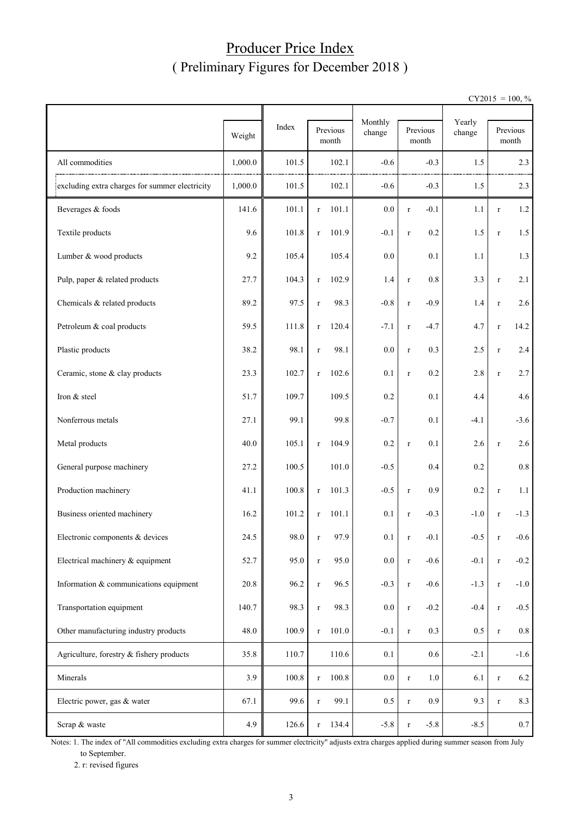#### Producer Price Index ( Preliminary Figures for December 2018 )

 $CY2015 = 100, \%$ 

|                                                | Weight  | Index | Previous<br>month    |       | Monthly<br>change |             | Previous<br>month | Yearly<br>change |              | Previous<br>month |
|------------------------------------------------|---------|-------|----------------------|-------|-------------------|-------------|-------------------|------------------|--------------|-------------------|
| All commodities                                | 1,000.0 | 101.5 | 102.1                |       | $-0.6$            |             | $-0.3$            | 1.5              |              | 2.3               |
| excluding extra charges for summer electricity | 1,000.0 | 101.5 | 102.1                |       | $-0.6$            |             | $-0.3$            | 1.5              |              | 2.3               |
| Beverages & foods                              | 141.6   | 101.1 | 101.1<br>$\mathbf r$ |       | 0.0               | $\mathbf r$ | $-0.1$            | 1.1              | $\mathbf{r}$ | 1.2               |
| Textile products                               | 9.6     | 101.8 | 101.9<br>$\mathbf r$ |       | $-0.1$            | $\mathbf r$ | 0.2               | 1.5              | $\mathbf r$  | 1.5               |
| Lumber & wood products                         | 9.2     | 105.4 | 105.4                |       | 0.0               |             | 0.1               | 1.1              |              | 1.3               |
| Pulp, paper & related products                 | 27.7    | 104.3 | 102.9<br>$\mathbf r$ |       | 1.4               | $\mathbf r$ | 0.8               | 3.3              | $\mathbf r$  | 2.1               |
| Chemicals & related products                   | 89.2    | 97.5  | $\mathbf r$          | 98.3  | $-0.8$            | $\mathbf r$ | $-0.9$            | 1.4              | $\mathbf r$  | 2.6               |
| Petroleum & coal products                      | 59.5    | 111.8 | $\mathbf r$          | 120.4 | $-7.1$            | $\mathbf r$ | $-4.7$            | 4.7              | $\mathbf r$  | 14.2              |
| Plastic products                               | 38.2    | 98.1  | $\mathbf r$          | 98.1  | 0.0               | $\mathbf r$ | 0.3               | 2.5              | $\mathbf r$  | 2.4               |
| Ceramic, stone & clay products                 | 23.3    | 102.7 | 102.6<br>$\mathbf r$ |       | 0.1               | $\mathbf r$ | 0.2               | 2.8              | $\mathbf r$  | 2.7               |
| Iron & steel                                   | 51.7    | 109.7 | 109.5                |       | 0.2               |             | 0.1               | 4.4              |              | 4.6               |
| Nonferrous metals                              | 27.1    | 99.1  |                      | 99.8  | $-0.7$            |             | 0.1               | $-4.1$           |              | $-3.6$            |
| Metal products                                 | 40.0    | 105.1 | 104.9<br>$\mathbf r$ |       | 0.2               | $\mathbf r$ | 0.1               | 2.6              | $\, r$       | 2.6               |
| General purpose machinery                      | 27.2    | 100.5 | 101.0                |       | $-0.5$            |             | 0.4               | 0.2              |              | 0.8               |
| Production machinery                           | 41.1    | 100.8 | 101.3<br>$\mathbf r$ |       | $-0.5$            | $\mathbf r$ | 0.9               | 0.2              | $\mathbf r$  | 1.1               |
| Business oriented machinery                    | 16.2    | 101.2 | 101.1<br>$\mathbf r$ |       | 0.1               | $\mathbf r$ | $-0.3$            | $-1.0$           | $\mathbf r$  | $-1.3$            |
| Electronic components & devices                | 24.5    | 98.0  | r                    | 97.9  | 0.1               | r           | $-0.1$            | $-0.5$           |              | $-0.6$            |
| Electrical machinery & equipment               | 52.7    | 95.0  | $\mathbf r$          | 95.0  | 0.0               | $\mathbf r$ | $-0.6$            | $-0.1$           | $\, r$       | $-0.2$            |
| Information & communications equipment         | 20.8    | 96.2  | $\mathbf r$          | 96.5  | $-0.3$            | $\mathbf r$ | $-0.6$            | $-1.3$           | $\mathbf r$  | $-1.0$            |
| Transportation equipment                       | 140.7   | 98.3  | $\mathbf r$          | 98.3  | $0.0\,$           | $\mathbf r$ | $-0.2$            | $-0.4$           | $\mathbf r$  | $-0.5$            |
| Other manufacturing industry products          | 48.0    | 100.9 | 101.0<br>$\mathbf r$ |       | $-0.1$            | $\mathbf r$ | 0.3               | $0.5\,$          | $\mathbf r$  | $0.8\,$           |
| Agriculture, forestry & fishery products       | 35.8    | 110.7 |                      | 110.6 | $0.1\,$           |             | 0.6               | $-2.1$           |              | $-1.6$            |
| Minerals                                       | 3.9     | 100.8 | 100.8<br>$\mathbf r$ |       | $0.0\,$           | $\mathbf r$ | $1.0\,$           | 6.1              | $\mathbf r$  | 6.2               |
| Electric power, gas & water                    | 67.1    | 99.6  | $\mathbf r$          | 99.1  | 0.5               | $\mathbf r$ | 0.9               | 9.3              | $\mathbf r$  | 8.3               |
| Scrap & waste                                  | 4.9     | 126.6 | 134.4<br>$\mathbf r$ |       | $-5.8$            | $\mathbf r$ | $-5.8$            | $-8.5$           |              | $0.7\,$           |

Notes: 1. The index of "All commodities excluding extra charges for summer electricity" adjusts extra charges applied during summer season from July to September.

2. r: revised figures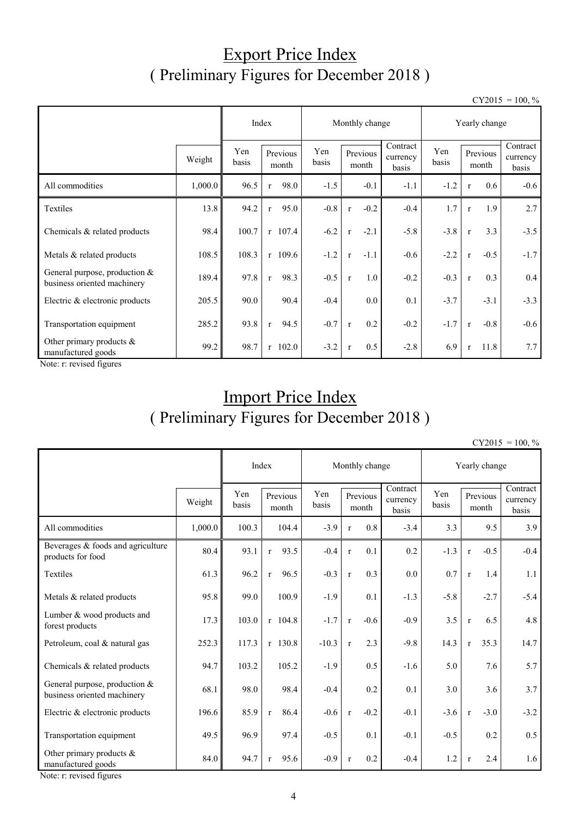## Export Price Index ( Preliminary Figures for December 2018 )

 $CY2015 = 100, \%$ 

|                                                                |         |              |                            | Monthly change | Yearly change          |                               |              |                   |        |                               |
|----------------------------------------------------------------|---------|--------------|----------------------------|----------------|------------------------|-------------------------------|--------------|-------------------|--------|-------------------------------|
|                                                                | Weight  | Yen<br>basis | Previous<br>basis<br>month |                | Previous<br>month      | Contract<br>currency<br>basis | Yen<br>basis | Previous<br>month |        | Contract<br>currency<br>basis |
| All commodities                                                | 1,000.0 | 96.5         | 98.0<br>$\mathbf{r}$       | $-1.5$         | $-0.1$                 | $-1.1$                        | $-1.2$       | $\mathbf{r}$      | 0.6    | $-0.6$                        |
| Textiles                                                       | 13.8    | 94.2         | 95.0<br>$\mathbf{r}$       | $-0.8$         | $-0.2$<br>$\mathbf{r}$ | $-0.4$                        | 1.7          | $\mathbf{r}$      | 1.9    | 2.7                           |
| Chemicals & related products                                   | 98.4    | 100.7        | $r$ 107.4                  | $-6.2$         | $-2.1$<br>$\mathbf{r}$ | $-5.8$                        | $-3.8$       | $\mathbf{r}$      | 3.3    | $-3.5$                        |
| Metals & related products                                      | 108.5   | 108.3        | $r$ 109.6                  | $-1.2$         | $-1.1$<br>$\mathbf{r}$ | $-0.6$                        | $-2.2$       | $\mathbf{r}$      | $-0.5$ | $-1.7$                        |
| General purpose, production $&$<br>business oriented machinery | 189.4   | 97.8         | 98.3<br>$\mathbf{r}$       | $-0.5$         | 1.0<br>$\mathbf{r}$    | $-0.2$                        | $-0.3$       | $\mathbf{r}$      | 0.3    | 0.4                           |
| Electric & electronic products                                 | 205.5   | 90.0         | 90.4                       | $-0.4$         | $0.0\,$                | 0.1                           | $-3.7$       |                   | $-3.1$ | $-3.3$                        |
| Transportation equipment                                       | 285.2   | 93.8         | 94.5<br>$\mathbf{r}$       | $-0.7$         | 0.2<br>$\mathbf{r}$    | $-0.2$                        | $-1.7$       | $\mathbf{r}$      | $-0.8$ | $-0.6$                        |
| Other primary products &<br>manufactured goods                 | 99.2    | 98.7         | $r$ 102.0                  | $-3.2$         | 0.5<br>$\mathbf{r}$    | $-2.8$                        | 6.9          | $\mathbf{r}$      | 11.8   | 7.7                           |

Note: r: revised figures

## Import Price Index ( Preliminary Figures for December 2018 )

 $CY2015 = 100, \%$ 

|                                                                |         |              | Index                |              | Monthly change         |                               | Yearly change |                        |                               |  |
|----------------------------------------------------------------|---------|--------------|----------------------|--------------|------------------------|-------------------------------|---------------|------------------------|-------------------------------|--|
|                                                                | Weight  | Yen<br>basis | Previous<br>month    | Yen<br>basis | Previous<br>month      | Contract<br>currency<br>basis | Yen<br>basis  | Previous<br>month      | Contract<br>currency<br>basis |  |
| All commodities                                                | 1,000.0 | 100.3        | 104.4                | $-3.9$       | 0.8<br>$\mathbf{r}$    | $-3.4$                        | 3.3           | 9.5                    | 3.9                           |  |
| Beverages & foods and agriculture<br>products for food         | 80.4    | 93.1         | 93.5<br>$\mathbf{r}$ | $-0.4$       | 0.1<br>$\mathbf r$     | 0.2                           | $-1.3$        | $-0.5$<br>$\mathbf r$  | $-0.4$                        |  |
| Textiles                                                       | 61.3    | 96.2         | 96.5<br>$\mathbf{r}$ | $-0.3$       | 0.3<br>$\mathbf{r}$    | 0.0                           | 0.7           | 1.4<br>$\mathbf{r}$    | 1.1                           |  |
| Metals & related products                                      | 95.8    | 99.0         | 100.9                | $-1.9$       | 0.1                    | $-1.3$                        | $-5.8$        | $-2.7$                 | $-5.4$                        |  |
| Lumber & wood products and<br>forest products                  | 17.3    | 103.0        | $r$ 104.8            | $-1.7$       | $-0.6$<br>$\mathbf{r}$ | $-0.9$                        | 3.5           | 6.5<br>$\mathbf r$     | 4.8                           |  |
| Petroleum, coal & natural gas                                  | 252.3   | 117.3        | $r$ 130.8            | $-10.3$      | 2.3<br>$\mathbf{r}$    | $-9.8$                        | 14.3          | 35.3<br>$\mathbf{r}$   | 14.7                          |  |
| Chemicals & related products                                   | 94.7    | 103.2        | 105.2                | $-1.9$       | 0.5                    | $-1.6$                        | 5.0           | 7.6                    | 5.7                           |  |
| General purpose, production $&$<br>business oriented machinery | 68.1    | 98.0         | 98.4                 | $-0.4$       | 0.2                    | 0.1                           | 3.0           | 3.6                    | 3.7                           |  |
| Electric & electronic products                                 | 196.6   | 85.9         | 86.4<br>$\mathbf{r}$ | $-0.6$       | $-0.2$<br>$\mathbf r$  | $-0.1$                        | $-3.6$        | $-3.0$<br>$\mathbf{r}$ | $-3.2$                        |  |
| Transportation equipment                                       | 49.5    | 96.9         | 97.4                 | $-0.5$       | 0.1                    | $-0.1$                        | $-0.5$        | 0.2                    | 0.5                           |  |
| Other primary products &<br>manufactured goods                 | 84.0    | 94.7         | 95.6<br>$\mathbf{r}$ | $-0.9$       | 0.2<br>$\mathbf{r}$    | $-0.4$                        | 1.2           | 2.4<br>$\mathbf{r}$    | 1.6                           |  |

Note: r: revised figures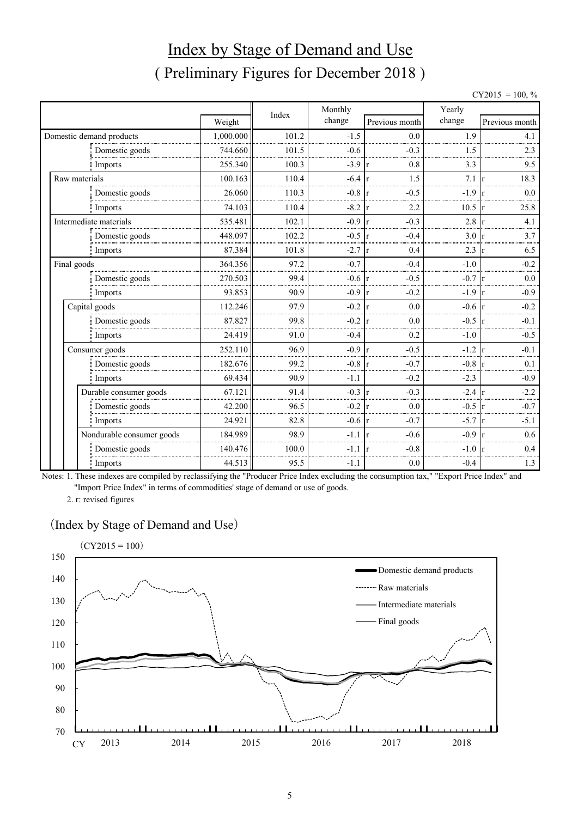# Index by Stage of Demand and Use ( Preliminary Figures for December 2018 )

| $CY2015 =$ | $100, \%$ |  |
|------------|-----------|--|
|------------|-----------|--|

|               |                           |           | Index | Monthly          |                        | Yearly |                     |
|---------------|---------------------------|-----------|-------|------------------|------------------------|--------|---------------------|
|               |                           | Weight    |       | change           | Previous month         | change | Previous month      |
|               | Domestic demand products  | 1,000.000 | 101.2 | $-1.5$           | 0.0                    | 1.9    | 4.1                 |
|               | Domestic goods            | 744.660   | 101.5 | $-0.6$           | $-0.3$                 | 1.5    | 2.3                 |
|               | Imports                   | 255.340   | 100.3 | $-3.9$           | 0.8<br>-lr             | 3.3    | 9.5                 |
| Raw materials |                           | 100.163   | 110.4 | $-6.4$           | 1.5<br>$\mathbf{r}$    | 7.1    | 18.3                |
|               | Domestic goods            | 26.060    | 110.3 | $-0.8$           | $-0.5$<br>r            | $-1.9$ | 0.0                 |
|               | Imports                   | 74.103    | 110.4 | $-8.2$           | 2.2<br>r               | 10.5   | 25.8                |
|               | Intermediate materials    | 535.481   | 102.1 | $-0.9$           | $-0.3$<br>$\mathbf{r}$ | 2.8    | 4.1                 |
|               | Domestic goods            | 448.097   | 102.2 | $-0.5$           | $-0.4$<br>$\mathbf{r}$ | 3.0    | 3.7                 |
|               | Imports                   | 87.384    | 101.8 | $-2.7$           | 0.4<br>$\mathbf{r}$    | 2.3    | 6.5<br>$\mathbf{r}$ |
| Final goods   |                           | 364.356   | 97.2  | $-0.7$           | $-0.4$                 | $-1.0$ | $-0.2$              |
|               | Domestic goods            | 270.503   | 99.4  | $-0.6$ r         | $-0.5$                 | $-0.7$ | 0.0                 |
|               | Imports                   | 93.853    | 90.9  | $-0.9 \text{ r}$ | $-0.2$                 | $-1.9$ | $-0.9$              |
|               | Capital goods             | 112.246   | 97.9  | $-0.2$           | 0.0<br>$\mathbf{r}$    | $-0.6$ | $-0.2$              |
|               | Domestic goods            | 87.827    | 99.8  | $-0.2$           | 0.0                    | $-0.5$ | $-0.1$              |
|               | Imports                   | 24.419    | 91.0  | $-0.4$           | 0.2                    | $-1.0$ | $-0.5$              |
|               | Consumer goods            | 252.110   | 96.9  | $-0.9$           | $-0.5$<br>$\mathbf{r}$ | $-1.2$ | $-0.1$              |
|               | Domestic goods            | 182.676   | 99.2  | $-0.8$           | $-0.7$<br>$\mathbf{r}$ | $-0.8$ | 0.1                 |
|               | Imports                   | 69.434    | 90.9  | $-1.1$           | $-0.2$                 | $-2.3$ | $-0.9$              |
|               | Durable consumer goods    | 67.121    | 91.4  | $-0.3$           | $-0.3$<br>$\mathbf{r}$ | $-2.4$ | $-2.2$              |
|               | Domestic goods            | 42.200    | 96.5  | $-0.2$           | 0.0<br>١r              | $-0.5$ | $-0.7$              |
|               | Imports                   | 24.921    | 82.8  | $-0.6 \text{ r}$ | $-0.7$                 | $-5.7$ | $-5.1$              |
|               | Nondurable consumer goods | 184.989   | 98.9  | $-1.1$           | $-0.6$<br>$\mathbf{r}$ | $-0.9$ | 0.6                 |
|               | Domestic goods            | 140.476   | 100.0 | $-1.1$           | $-0.8$                 | $-1.0$ | 0.4                 |
|               | Imports                   | 44.513    | 95.5  | $-1.1$           | 0.0                    | $-0.4$ | 1.3                 |

Notes: 1. These indexes are compiled by reclassifying the "Producer Price Index excluding the consumption tax," "Export Price Index" and "Import Price Index" in terms of commodities' stage of demand or use of goods.

2. r: revised figures

#### (Index by Stage of Demand and Use)

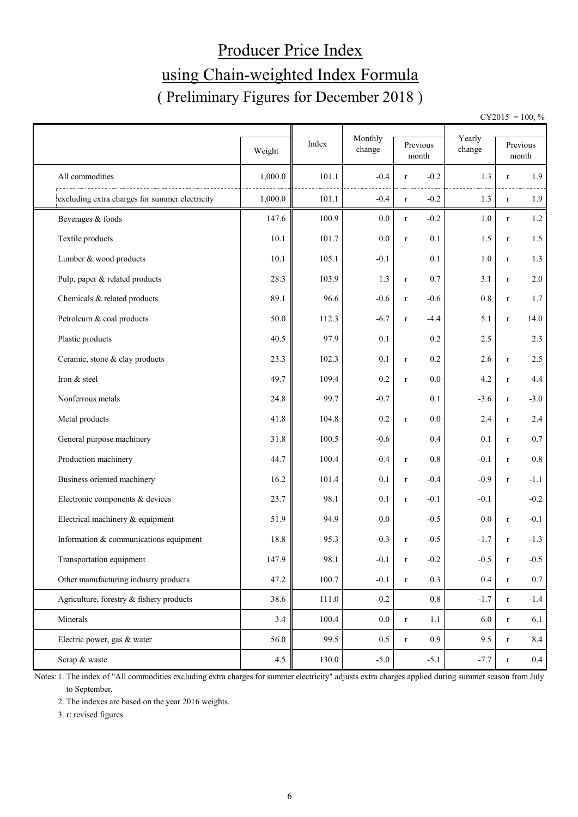# Producer Price Index using Chain-weighted Index Formula ( Preliminary Figures for December 2018 )

 $CY2015 = 100, \%$ 

|                                                | Weight  | Index | Monthly<br>change | Previous               | Yearly<br>change |              | Previous         |
|------------------------------------------------|---------|-------|-------------------|------------------------|------------------|--------------|------------------|
|                                                |         |       |                   | month                  |                  |              | month            |
| All commodities                                | 1,000.0 | 101.1 | $-0.4$            | $-0.2$<br>$\mathbf r$  | 1.3              | r            | 1.9              |
| excluding extra charges for summer electricity | 1,000.0 | 101.1 | $-0.4$            | $-0.2$<br>$\mathbf r$  | 1.3              | $\mathbf r$  | 1.9              |
| Beverages & foods                              | 147.6   | 100.9 | $0.0\,$           | $-0.2$<br>$\mathbf r$  | 1.0              | $\mathbf r$  | $1.2\,$          |
| Textile products                               | 10.1    | 101.7 | $0.0\,$           | 0.1<br>$\mathbf r$     | 1.5              | $\mathbf r$  | $1.5\,$          |
| Lumber & wood products                         | 10.1    | 105.1 | $-0.1$            | 0.1                    | 1.0              | $\mathbf r$  | 1.3              |
| Pulp, paper & related products                 | 28.3    | 103.9 | 1.3               | 0.7<br>$\mathbf r$     | 3.1              | $\mathbf r$  | $2.0\,$          |
| Chemicals & related products                   | 89.1    | 96.6  | $-0.6$            | $-0.6$<br>$\mathbf r$  | 0.8              | $\mathbf r$  | 1.7              |
| Petroleum & coal products                      | 50.0    | 112.3 | $-6.7$            | $-4.4$<br>$\mathbf r$  | 5.1              | $\mathbf r$  | 14.0             |
| Plastic products                               | 40.5    | 97.9  | 0.1               | 0.2                    | 2.5              |              | 2.3              |
| Ceramic, stone & clay products                 | 23.3    | 102.3 | 0.1               | 0.2<br>$\mathbf r$     | 2.6              | $\mathbf r$  | 2.5              |
| Iron & steel                                   | 49.7    | 109.4 | 0.2               | 0.0<br>$\mathbf r$     | 4.2              | $\mathbf r$  | 4.4              |
| Nonferrous metals                              | 24.8    | 99.7  | $-0.7$            | 0.1                    | $-3.6$           | $\mathbf{r}$ | $-3.0$           |
| Metal products                                 | 41.8    | 104.8 | 0.2               | 0.0<br>$\mathbf r$     | 2.4              | $\mathbf{r}$ | 2.4              |
| General purpose machinery                      | 31.8    | 100.5 | $-0.6$            | 0.4                    | 0.1              | $\mathbf r$  | 0.7              |
| Production machinery                           | 44.7    | 100.4 | $-0.4$            | 0.8<br>$\mathbf r$     | $-0.1$           | $\mathbf r$  | $0.8\,$          |
| Business oriented machinery                    | 16.2    | 101.4 | 0.1               | $-0.4$<br>$\mathbf r$  | $-0.9$           | $\mathbf r$  | $-1.1$           |
| Electronic components & devices                | 23.7    | 98.1  | 0.1               | $-0.1$<br>$\mathbf r$  | $-0.1$           |              | $-0.2$           |
| Electrical machinery & equipment               | 51.9    | 94.9  | 0.0               | $-0.5$                 | 0.0              | $\mathbf r$  | $-0.1$           |
| Information & communications equipment         | 18.8    | 95.3  | $-0.3$            | $-0.5$<br>$\mathbf r$  | $-1.7$           | $\mathbf{r}$ | $-1.3$           |
| Transportation equipment                       | 147.9   | 98.1  | $-0.1$            | $-0.2$<br>$\mathbf{r}$ | $-0.5$           | $\mathbf r$  | $-0.5$           |
| Other manufacturing industry products          | 47.2    | 100.7 | $-0.1$            | 0.3<br>$\mathbf r$     | 0.4              | $\mathbf r$  | $0.7\,$          |
| Agriculture, forestry & fishery products       | 38.6    | 111.0 | $0.2\,$           | 0.8                    | $-1.7$           | $\mathbf r$  | $-1.4$           |
| Minerals                                       | 3.4     | 100.4 | $0.0\,$           | $1.1\,$<br>$\mathbf r$ | 6.0              | $\mathbf r$  | 6.1              |
| Electric power, gas & water                    | 56.0    | 99.5  | $0.5\,$           | 0.9<br>$\mathbf r$     | 9.5              | $\mathbf r$  | 8.4              |
| Scrap & waste                                  | 4.5     | 130.0 | $-5.0$            | $-5.1$                 | $-7.7$           | $\mathbf r$  | $0.4\phantom{0}$ |

Notes: 1. The index of "All commodities excluding extra charges for summer electricity" adjusts extra charges applied during summer season from July to September.

2. The indexes are based on the year 2016 weights.

3. r: revised figures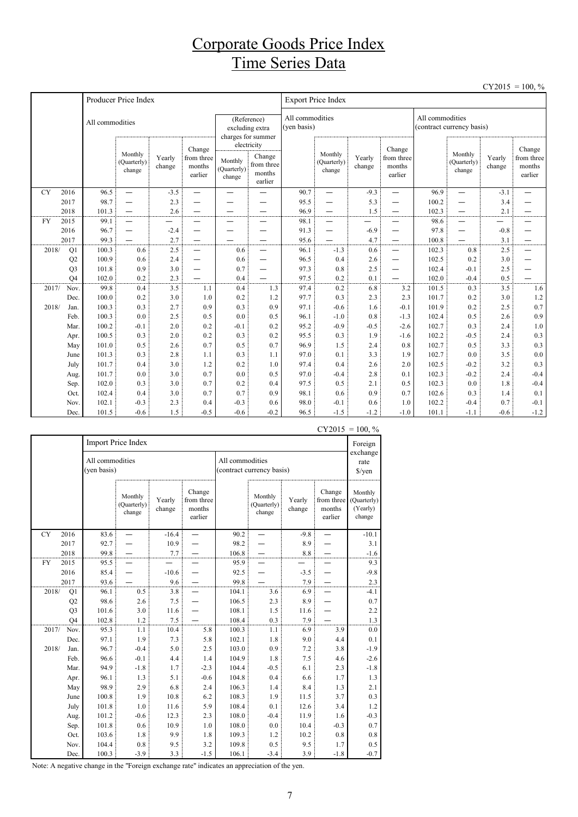## Corporate Goods Price Index Time Series Data

|           |                      |                 |                                  |                  |                                           |                                  |                                                                     |              |                                  |                  |                                           |                |                                              |                  | $CY2015 = 100, \%$                        |  |
|-----------|----------------------|-----------------|----------------------------------|------------------|-------------------------------------------|----------------------------------|---------------------------------------------------------------------|--------------|----------------------------------|------------------|-------------------------------------------|----------------|----------------------------------------------|------------------|-------------------------------------------|--|
|           |                      |                 | Producer Price Index             |                  |                                           |                                  |                                                                     |              | <b>Export Price Index</b>        |                  |                                           |                |                                              |                  |                                           |  |
|           |                      | All commodities |                                  |                  |                                           |                                  | (Reference)<br>excluding extra<br>charges for summer<br>electricity |              | All commodities<br>(ven basis)   |                  |                                           |                | All commodities<br>(contract currency basis) |                  |                                           |  |
|           |                      |                 | Monthly<br>(Quarterly)<br>change | Yearly<br>change | Change<br>from three<br>months<br>earlier | Monthly<br>(Quarterly)<br>change | Change<br>from three<br>months<br>earlier                           |              | Monthly<br>(Quarterly)<br>change | Yearly<br>change | Change<br>from three<br>months<br>earlier |                | Monthly<br>(Quarterly)<br>change             | Yearly<br>change | Change<br>from three<br>months<br>earlier |  |
| <b>CY</b> | 2016                 | 96.5            | $\equiv$                         | $-3.5$           | —                                         | $\overline{\phantom{0}}$         |                                                                     | 90.7         | —                                | $-9.3$           | —                                         | 96.9           | $\equiv$                                     | $-3.1$           |                                           |  |
|           | 2017                 | 98.7            | —                                | 2.3              |                                           |                                  |                                                                     | 95.5         |                                  | 5.3              |                                           | 100.2          | —                                            | 3.4              |                                           |  |
|           | 2018                 | 101.3           | $\qquad \qquad -$                | 2.6              | $\overline{\phantom{0}}$                  | —                                | $\overline{\phantom{0}}$                                            | 96.9         | $\overline{\phantom{0}}$         | 1.5              | $\qquad \qquad$                           | 102.3          | —                                            | 2.1              |                                           |  |
| <b>FY</b> | 2015                 | 99.1            | $\overbrace{\phantom{1232211}}$  |                  | —                                         | —                                | $\overline{\phantom{0}}$                                            | 98.1         | —                                |                  | —                                         | 98.6           | $\overline{\phantom{0}}$                     | —                |                                           |  |
|           | 2016                 | 96.7            | $\overbrace{\phantom{1232211}}$  | $-2.4$           | —                                         |                                  | $\overline{\phantom{0}}$                                            | 91.3         | —                                | $-6.9$           | —                                         | 97.8           | —                                            | $-0.8$           |                                           |  |
|           | 2017                 | 99.3            |                                  | 2.7              | $\overline{\phantom{0}}$                  |                                  | $\overline{\phantom{0}}$                                            | 95.6         | $\overline{\phantom{0}}$         | 4.7              |                                           | 100.8          | $\overline{\phantom{0}}$                     | 3.1              | —                                         |  |
| 2018/     | Q1                   | 100.3<br>100.9  | 0.6                              | 2.5              | $\equiv$                                  | 0.6                              | $\equiv$                                                            | 96.1         | $-1.3$                           | 0.6              | $\overline{\phantom{0}}$                  | 102.3          | 0.8                                          | 2.5              | $\overline{\phantom{0}}$                  |  |
|           | Q2<br>Q <sub>3</sub> | 101.8           | 0.6<br>0.9                       | 2.4<br>3.0       | $\overline{\phantom{0}}$                  | 0.6<br>0.7                       | $\overline{\phantom{0}}$<br>$\overline{\phantom{0}}$                | 96.5<br>97.3 | 0.4<br>0.8                       | 2.6<br>2.5       | $\overline{\phantom{0}}$                  | 102.5<br>102.4 | 0.2<br>$-0.1$                                | 3.0<br>2.5       |                                           |  |
|           | O <sub>4</sub>       | 102.0           | 0.2                              | 2.3              | —                                         | 0.4                              |                                                                     | 97.5         | 0.2                              | 0.1              | —                                         | 102.0          | $-0.4$                                       | 0.5              |                                           |  |
| 2017/     | Nov.                 | 99.8            | 0.4                              | 3.5              | 1.1                                       | 0.4                              | 1.3                                                                 | 97.4         | 0.2                              | 6.8              | 3.2                                       | 101.5          | 0.3                                          | 3.5              | 1.6                                       |  |
|           | Dec.                 | 100.0           | 0.2                              | 3.0              | 1.0                                       | 0.2                              | 1.2                                                                 | 97.7         | 0.3                              | 2.3              | 2.3                                       | 101.7          | 0.2                                          | 3.0              | 1.2                                       |  |
| 2018/     | Jan.                 | 100.3           | 0.3                              | 2.7              | 0.9                                       | 0.3                              | 0.9                                                                 | 97.1         | $-0.6$                           | 1.6              | $-0.1$                                    | 101.9          | 0.2                                          | 2.5              | 0.7                                       |  |
|           | Feb.                 | 100.3           | 0.0                              | 2.5              | 0.5                                       | 0.0                              | 0.5                                                                 | 96.1         | $-1.0$                           | 0.8              | $-1.3$                                    | 102.4          | 0.5                                          | 2.6              | 0.9                                       |  |
|           | Mar.                 | 100.2           | $-0.1$                           | 2.0              | 0.2                                       | $-0.1$                           | 0.2                                                                 | 95.2         | $-0.9$                           | $-0.5$           | $-2.6$                                    | 102.7          | 0.3                                          | 2.4              | 1.0                                       |  |
|           | Apr.                 | 100.5           | 0.3                              | 2.0              | 0.2                                       | 0.3                              | 0.2                                                                 | 95.5         | 0.3                              | 1.9              | $-1.6$                                    | 102.2          | $-0.5$                                       | 2.4              | 0.3                                       |  |
|           | May                  | 101.0           | 0.5                              | 2.6              | 0.7                                       | 0.5                              | 0.7                                                                 | 96.9         | 1.5                              | 2.4              | 0.8                                       | 102.7          | 0.5                                          | 3.3              | 0.3                                       |  |
|           | June                 | 101.3           | 0.3                              | 2.8              | 1.1                                       | 0.3                              | 1.1                                                                 | 97.0         | 0.1                              | 3.3              | 1.9                                       | 102.7          | 0.0                                          | 3.5              | $0.0\,$                                   |  |
|           | July                 | 101.7           | 0.4                              | 3.0              | 1.2                                       | 0.2                              | 1.0                                                                 | 97.4         | 0.4                              | 2.6              | 2.0                                       | 102.5          | $-0.2$                                       | 3.2              | 0.3                                       |  |
|           | Aug.                 | 101.7           | 0.0                              | 3.0              | 0.7                                       | 0.0                              | 0.5                                                                 | 97.0         | $-0.4$                           | 2.8              | 0.1                                       | 102.3          | $-0.2$                                       | 2.4              | $-0.4$                                    |  |
|           | Sep.                 | 102.0           | 0.3                              | 3.0              | 0.7                                       | 0.2                              | 0.4                                                                 | 97.5         | 0.5                              | 2.1              | 0.5                                       | 102.3          | 0.0                                          | 1.8              | $-0.4$                                    |  |
|           | Oct.                 | 102.4           | 0.4                              | 3.0              | 0.7                                       | 0.7                              | 0.9                                                                 | 98.1         | 0.6                              | 0.9              | 0.7                                       | 102.6          | 0.3                                          | 1.4              | 0.1                                       |  |
|           | Nov.                 | 102.1           | $-0.3$                           | 2.3              | 0.4                                       | $-0.3$                           | 0.6                                                                 | 98.0         | $-0.1$                           | 0.6              | 1.0                                       | 102.2          | $-0.4$                                       | 0.7              | $-0.1$                                    |  |
|           | Dec.                 | 101.5           | $-0.6$                           | 1.5              | $-0.5$                                    | $-0.6$                           | $-0.2$                                                              | 96.5         | $-1.5$                           | $-1.2$           | $-1.0$                                    | 101.1          | $-1.1$                                       | $-0.6$           | $-1.2$                                    |  |

|           |                |                                | Import Price Index               |                  |                                           |                 |                                  |                  |                                           | Foreign                                      |
|-----------|----------------|--------------------------------|----------------------------------|------------------|-------------------------------------------|-----------------|----------------------------------|------------------|-------------------------------------------|----------------------------------------------|
|           |                | All commodities<br>(yen basis) |                                  |                  |                                           | All commodities | (contract currency basis)        |                  |                                           | exchange<br>rate<br>\$/yen                   |
|           |                |                                | Monthly<br>(Quarterly)<br>change | Yearly<br>change | Change<br>from three<br>months<br>earlier |                 | Monthly<br>(Quarterly)<br>change | Yearly<br>change | Change<br>from three<br>months<br>earlier | Monthly<br>(Quarterly)<br>(Yearly)<br>change |
| <b>CY</b> | 2016           | 83.6                           |                                  | $-16.4$          |                                           | 90.2            |                                  | $-9.8$           |                                           | $-10.1$                                      |
|           | 2017           | 92.7                           |                                  | 10.9             |                                           | 98.2            |                                  | 8.9              |                                           | 3.1                                          |
|           | 2018           | 99.8                           |                                  | 7.7              |                                           | 106.8           |                                  | 8.8              |                                           | $-1.6$                                       |
| <b>FY</b> | 2015           | 95.5                           |                                  |                  |                                           | 95.9            |                                  |                  |                                           | 9.3                                          |
|           | 2016           | 85.4                           |                                  | $-10.6$          |                                           | 92.5            |                                  | $-3.5$           |                                           | $-9.8$                                       |
|           | 2017           | 93.6                           |                                  | 9.6              |                                           | 99.8            |                                  | 7.9              |                                           | $2.3\,$                                      |
| 2018/     | Q1             | 96.1                           | 0.5                              | 3.8              |                                           | 104.1           | 3.6                              | 6.9              |                                           | $-4.1$                                       |
|           | Q2             | 98.6                           | 2.6                              | 7.5              |                                           | 106.5           | 2.3                              | 8.9              |                                           | 0.7                                          |
|           | Q <sub>3</sub> | 101.6                          | 3.0                              | 11.6             |                                           | 108.1           | 1.5                              | 11.6             |                                           | 2.2                                          |
|           | O <sub>4</sub> | 102.8                          | 1.2                              | $7.5\,$          |                                           | 108.4           | 0.3                              | 7.9              |                                           | 1.3                                          |
| 2017/     | Nov.           | 95.3                           | 1.1                              | 10.4             | 5.8                                       | 100.3           | 1.1                              | 6.9              | 3.9                                       | 0.0                                          |
|           | Dec.           | 97.1                           | 1.9                              | 7.3              | 5.8                                       | 102.1           | 1.8                              | 9.0              | 4.4                                       | 0.1                                          |
| 2018/     | Jan.           | 96.7                           | $-0.4$                           | 5.0              | 2.5                                       | 103.0           | 0.9                              | 7.2              | 3.8                                       | $-1.9$                                       |
|           | Feb.           | 96.6                           | $-0.1$                           | 4.4              | 1.4                                       | 104.9           | 1.8                              | 7.5              | 4.6                                       | $-2.6$                                       |
|           | Mar.           | 94.9                           | $-1.8$                           | 1.7              | $-2.3$                                    | 104.4           | $-0.5$                           | 6.1              | 2.3                                       | $-1.8$                                       |
|           | Apr.           | 96.1                           | 1.3                              | 5.1              | $-0.6$                                    | 104.8           | 0.4                              | 6.6              | 1.7                                       | 1.3                                          |
|           | May            | 98.9                           | 2.9                              | 6.8              | 2.4                                       | 106.3           | 1.4                              | 8.4              | 1.3                                       | 2.1                                          |
|           | June           | 100.8                          | 1.9                              | 10.8             | 6.2                                       | 108.3           | 1.9                              | 11.5             | 3.7                                       | 0.3                                          |
|           | July           | 101.8                          | 1.0                              | 11.6             | 5.9                                       | 108.4           | 0.1                              | 12.6             | 3.4                                       | 1.2                                          |
|           | Aug.           | 101.2                          | $-0.6$                           | 12.3             | 2.3                                       | 108.0           | $-0.4$                           | 11.9             | 1.6                                       | $-0.3$                                       |
|           | Sep.           | 101.8                          | 0.6                              | 10.9             | 1.0                                       | 108.0           | 0.0                              | 10.4             | $-0.3$                                    | 0.7                                          |
|           | Oct.           | 103.6                          | 1.8                              | 9.9              | 1.8                                       | 109.3           | 1.2                              | 10.2             | 0.8                                       | 0.8                                          |
|           | Nov.           | 104.4                          | 0.8                              | 9.5              | 3.2                                       | 109.8           | 0.5                              | 9.5              | 1.7                                       | 0.5                                          |
|           | Dec.           | 100.3                          | $-3.9$                           | 3.3              | $-1.5$                                    | 106.1           | $-3.4$                           | 3.9              | $-1.8$                                    | $-0.7$                                       |

 $CY2015 = 100, \%$ 

Note: A negative change in the "Foreign exchange rate" indicates an appreciation of the yen.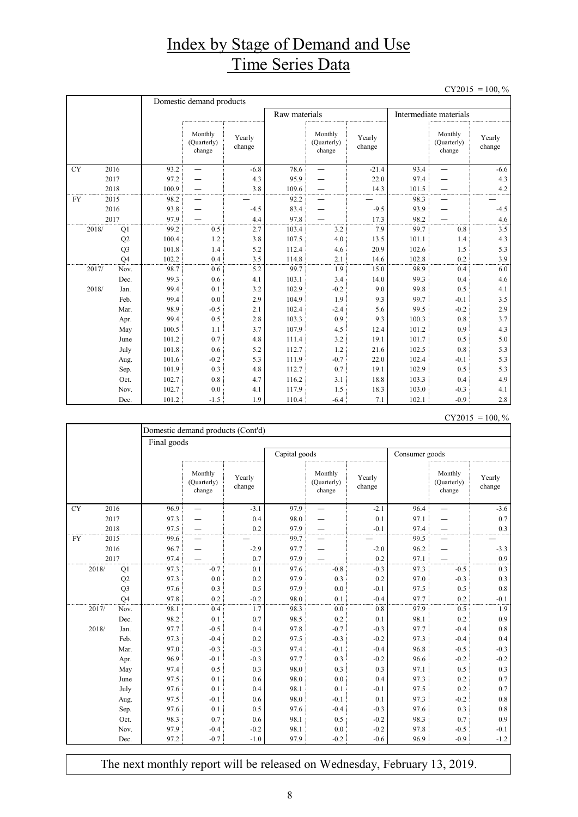## Index by Stage of Demand and Use Time Series Data

 $CY2015 = 100, \%$ 

|           |                | Domestic demand products |                                  |                  |               |                                  |                  |                        |                                  |                  |
|-----------|----------------|--------------------------|----------------------------------|------------------|---------------|----------------------------------|------------------|------------------------|----------------------------------|------------------|
|           |                |                          |                                  |                  | Raw materials |                                  |                  | Intermediate materials |                                  |                  |
|           |                |                          | Monthly<br>(Quarterly)<br>change | Yearly<br>change |               | Monthly<br>(Quarterly)<br>change | Yearly<br>change |                        | Monthly<br>(Quarterly)<br>change | Yearly<br>change |
| <b>CY</b> | 2016           | 93.2                     |                                  | $-6.8$           | 78.6          |                                  | $-21.4$          | 93.4                   |                                  | $-6.6$           |
|           | 2017           | 97.2                     |                                  | 4.3              | 95.9          |                                  | 22.0             | 97.4                   |                                  | 4.3              |
|           | 2018           | 100.9                    |                                  | 3.8              | 109.6         |                                  | 14.3             | 101.5                  |                                  | 4.2              |
| <b>FY</b> | 2015           | 98.2                     |                                  |                  | 92.2          |                                  |                  | 98.3                   |                                  |                  |
|           | 2016           | 93.8                     |                                  | $-4.5$           | 83.4          |                                  | $-9.5$           | 93.9                   |                                  | $-4.5$           |
|           | 2017           | 97.9                     |                                  | 4.4              | 97.8          |                                  | 17.3             | 98.2                   |                                  | 4.6              |
| 2018/     | Q1             | 99.2                     | 0.5                              | 2.7              | 103.4         | 3.2                              | 7.9              | 99.7                   | 0.8                              | 3.5              |
|           | Q2             | 100.4                    | 1.2                              | 3.8              | 107.5         | 4.0                              | 13.5             | 101.1                  | 1.4                              | 4.3              |
|           | Q <sub>3</sub> | 101.8                    | 1.4                              | 5.2              | 112.4         | 4.6                              | 20.9             | 102.6                  | 1.5                              | 5.3              |
|           | Q <sub>4</sub> | 102.2                    | 0.4                              | 3.5              | 114.8         | 2.1                              | 14.6             | 102.8                  | 0.2                              | 3.9              |
| 2017/     | Nov.           | 98.7                     | 0.6                              | 5.2              | 99.7          | 1.9                              | 15.0             | 98.9                   | 0.4                              | 6.0              |
|           | Dec.           | 99.3                     | 0.6                              | 4.1              | 103.1         | 3.4                              | 14.0             | 99.3                   | 0.4                              | 4.6              |
| 2018/     | Jan.           | 99.4                     | 0.1                              | 3.2              | 102.9         | $-0.2$                           | 9.0              | 99.8                   | 0.5                              | 4.1              |
|           | Feb.           | 99.4                     | 0.0                              | 2.9              | 104.9         | 1.9                              | 9.3              | 99.7                   | $-0.1$                           | 3.5              |
|           | Mar.           | 98.9                     | $-0.5$                           | 2.1              | 102.4         | $-2.4$                           | 5.6              | 99.5                   | $-0.2$                           | 2.9              |
|           | Apr.           | 99.4                     | 0.5                              | 2.8              | 103.3         | 0.9                              | 9.3              | 100.3                  | 0.8                              | 3.7              |
|           | May            | 100.5                    | 1.1                              | 3.7              | 107.9         | 4.5                              | 12.4             | 101.2                  | 0.9                              | 4.3              |
|           | June           | 101.2                    | 0.7                              | 4.8              | 111.4         | 3.2                              | 19.1             | 101.7                  | 0.5                              | 5.0              |
|           | July           | 101.8                    | 0.6                              | 5.2              | 112.7         | 1.2                              | 21.6             | 102.5                  | 0.8                              | 5.3              |
|           | Aug.           | 101.6                    | $-0.2$                           | 5.3              | 111.9         | $-0.7$                           | 22.0             | 102.4                  | $-0.1$                           | 5.3              |
|           | Sep.           | 101.9                    | 0.3                              | 4.8              | 112.7         | 0.7                              | 19.1             | 102.9                  | 0.5                              | 5.3              |
|           | Oct.           | 102.7                    | 0.8                              | 4.7              | 116.2         | 3.1                              | 18.8             | 103.3                  | 0.4                              | 4.9              |
|           | Nov.           | 102.7                    | 0.0                              | 4.1              | 117.9         | 1.5                              | 18.3             | 103.0                  | $-0.3$                           | 4.1              |
|           | Dec.           | 101.2                    | $-1.5$                           | 1.9              | 110.4         | $-6.4$                           | 7.1              | 102.1                  | $-0.9$                           | 2.8              |

 $CY2015 = 100, \%$ 

|           |       |                | Domestic demand products (Cont'd) |                                  |                  |               |                                  |                  |                |                                  |                  |  |  |
|-----------|-------|----------------|-----------------------------------|----------------------------------|------------------|---------------|----------------------------------|------------------|----------------|----------------------------------|------------------|--|--|
|           |       |                |                                   | Final goods                      |                  |               |                                  |                  |                |                                  |                  |  |  |
|           |       |                |                                   |                                  |                  | Capital goods |                                  |                  | Consumer goods |                                  |                  |  |  |
|           |       |                |                                   | Monthly<br>(Ouarterly)<br>change | Yearly<br>change |               | Monthly<br>(Quarterly)<br>change | Yearly<br>change |                | Monthly<br>(Quarterly)<br>change | Yearly<br>change |  |  |
| <b>CY</b> |       | 2016           | 96.9                              |                                  | $-3.1$           | 97.9          |                                  | $-2.1$           | 96.4           |                                  | $-3.6$           |  |  |
|           | 2017  |                | 97.3                              |                                  | 0.4              | 98.0          |                                  | 0.1              | 97.1           |                                  | 0.7              |  |  |
|           |       | 2018           | 97.5                              |                                  | 0.2              | 97.9          |                                  | $-0.1$           | 97.4           |                                  | 0.3              |  |  |
| <b>FY</b> | 2015  |                | 99.6                              |                                  |                  | 99.7          |                                  |                  | 99.5           |                                  |                  |  |  |
|           | 2016  |                | 96.7                              |                                  | $-2.9$           | 97.7          |                                  | $-2.0$           | 96.2           |                                  | $-3.3$           |  |  |
|           | 2017  |                | 97.4                              |                                  | 0.7              | 97.9          |                                  | 0.2              | 97.1           |                                  | 0.9              |  |  |
|           | 2018/ | Q1             | 97.3                              | $-0.7$                           | 0.1              | 97.6          | $-0.8$                           | $-0.3$           | 97.3           | $-0.5$                           | 0.3              |  |  |
|           |       | Q2             | 97.3                              | 0.0                              | 0.2              | 97.9          | 0.3                              | 0.2              | 97.0           | $-0.3$                           | 0.3              |  |  |
|           |       | Q <sub>3</sub> | 97.6                              | 0.3                              | 0.5              | 97.9          | 0.0                              | $-0.1$           | 97.5           | 0.5                              | 0.8              |  |  |
|           |       | O <sub>4</sub> | 97.8                              | 0.2                              | $-0.2$           | 98.0          | 0.1                              | $-0.4$           | 97.7           | 0.2                              | $-0.1$           |  |  |
|           | 2017/ | Nov.           | 98.1                              | 0.4                              | 1.7              | 98.3          | 0.0                              | 0.8              | 97.9           | 0.5                              | 1.9              |  |  |
|           |       | Dec.           | 98.2                              | 0.1                              | 0.7              | 98.5          | 0.2                              | 0.1              | 98.1           | 0.2                              | 0.9              |  |  |
|           | 2018/ | Jan.           | 97.7                              | $-0.5$                           | 0.4              | 97.8          | $-0.7$                           | $-0.3$           | 97.7           | $-0.4$                           | 0.8              |  |  |
|           |       | Feb.           | 97.3                              | $-0.4$                           | 0.2              | 97.5          | $-0.3$                           | $-0.2$           | 97.3           | $-0.4$                           | 0.4              |  |  |
|           |       | Mar.           | 97.0                              | $-0.3$                           | $-0.3$           | 97.4          | $-0.1$                           | $-0.4$           | 96.8           | $-0.5$                           | $-0.3$           |  |  |
|           |       | Apr.           | 96.9                              | $-0.1$                           | $-0.3$           | 97.7          | 0.3                              | $-0.2$           | 96.6           | $-0.2$                           | $-0.2$           |  |  |
|           |       | May            | 97.4                              | 0.5                              | 0.3              | 98.0          | 0.3                              | 0.3              | 97.1           | 0.5                              | 0.3              |  |  |
|           |       | June           | 97.5                              | 0.1                              | 0.6              | 98.0          | 0.0                              | 0.4              | 97.3           | 0.2                              | 0.7              |  |  |
|           |       | July           | 97.6                              | 0.1                              | 0.4              | 98.1          | 0.1                              | $-0.1$           | 97.5           | 0.2                              | 0.7              |  |  |
|           |       | Aug.           | 97.5                              | $-0.1$                           | 0.6              | 98.0          | $-0.1$                           | 0.1              | 97.3           | $-0.2$                           | 0.8              |  |  |
|           |       | Sep.           | 97.6                              | 0.1                              | 0.5              | 97.6          | $-0.4$                           | $-0.3$           | 97.6           | 0.3                              | 0.8              |  |  |
|           |       | Oct.           | 98.3                              | 0.7                              | 0.6              | 98.1          | 0.5                              | $-0.2$           | 98.3           | 0.7                              | 0.9              |  |  |
|           |       | Nov.           | 97.9                              | $-0.4$                           | $-0.2$           | 98.1          | 0.0                              | $-0.2$           | 97.8           | $-0.5$                           | $-0.1$           |  |  |
|           |       | Dec.           | 97.2                              | $-0.7$                           | $-1.0$           | 97.9          | $-0.2$                           | $-0.6$           | 96.9           | $-0.9$                           | $-1.2$           |  |  |

The next monthly report will be released on Wednesday, February 13, 2019.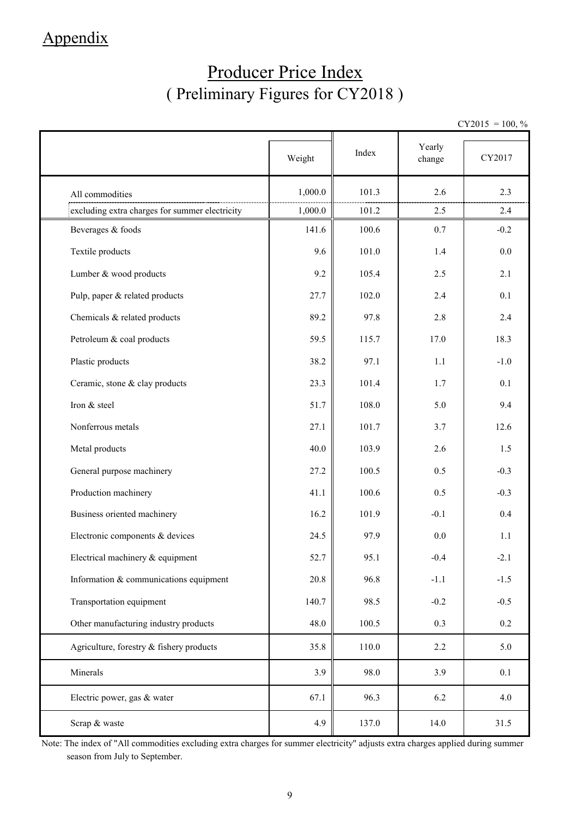## Appendix

## Producer Price Index ( Preliminary Figures for CY2018 )

 $CY2015 = 100, \%$ 

|                                                | Weight  | Index | Yearly<br>change | CY2017  |
|------------------------------------------------|---------|-------|------------------|---------|
| All commodities                                | 1,000.0 | 101.3 | 2.6              | 2.3     |
| excluding extra charges for summer electricity | 1,000.0 | 101.2 | 2.5              | 2.4     |
| Beverages & foods                              | 141.6   | 100.6 | 0.7              | $-0.2$  |
| Textile products                               | 9.6     | 101.0 | 1.4              | 0.0     |
| Lumber & wood products                         | 9.2     | 105.4 | 2.5              | 2.1     |
| Pulp, paper & related products                 | 27.7    | 102.0 | 2.4              | 0.1     |
| Chemicals & related products                   | 89.2    | 97.8  | 2.8              | 2.4     |
| Petroleum & coal products                      | 59.5    | 115.7 | 17.0             | 18.3    |
| Plastic products                               | 38.2    | 97.1  | 1.1              | $-1.0$  |
| Ceramic, stone & clay products                 | 23.3    | 101.4 | 1.7              | 0.1     |
| Iron & steel                                   | 51.7    | 108.0 | 5.0              | 9.4     |
| Nonferrous metals                              | 27.1    | 101.7 | 3.7              | 12.6    |
| Metal products                                 | 40.0    | 103.9 | 2.6              | 1.5     |
| General purpose machinery                      | 27.2    | 100.5 | 0.5              | $-0.3$  |
| Production machinery                           | 41.1    | 100.6 | 0.5              | $-0.3$  |
| Business oriented machinery                    | 16.2    | 101.9 | $-0.1$           | 0.4     |
| Electronic components & devices                | 24.5    | 97.9  | 0.0              | 1.1     |
| Electrical machinery & equipment               | 52.7    | 95.1  | $-0.4$           | $-2.1$  |
| Information & communications equipment         | 20.8    | 96.8  | $-1.1$           | $-1.5$  |
| Transportation equipment                       | 140.7   | 98.5  | $-0.2$           | $-0.5$  |
| Other manufacturing industry products          | 48.0    | 100.5 | 0.3              | $0.2\,$ |
| Agriculture, forestry $&$ fishery products     | 35.8    | 110.0 | 2.2              | 5.0     |
| Minerals                                       | 3.9     | 98.0  | 3.9              | 0.1     |
| Electric power, gas & water                    | 67.1    | 96.3  | 6.2              | 4.0     |
| Scrap & waste                                  | 4.9     | 137.0 | 14.0             | 31.5    |

Note: The index of "All commodities excluding extra charges for summer electricity" adjusts extra charges applied during summer season from July to September.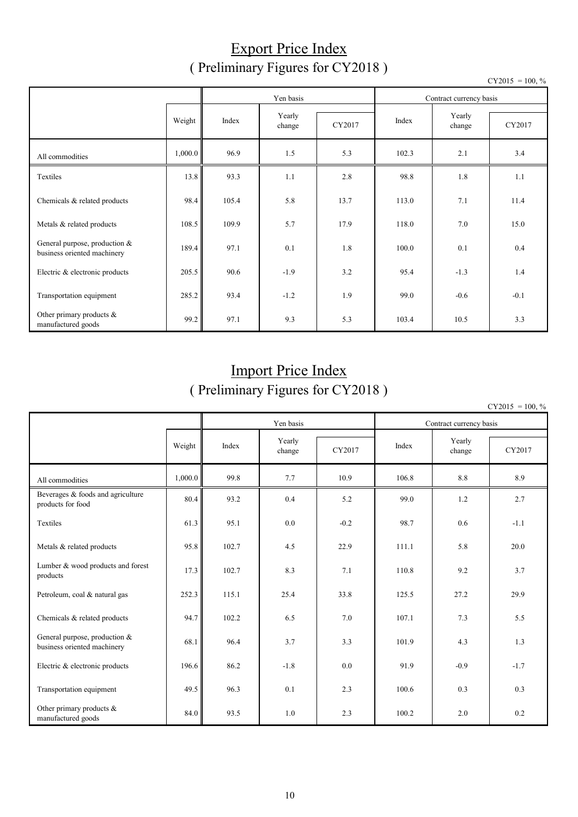### Export Price Index ( Preliminary Figures for CY2018 )

|                                                              |         |       | Yen basis        |        | Contract currency basis |                  |        |  |
|--------------------------------------------------------------|---------|-------|------------------|--------|-------------------------|------------------|--------|--|
|                                                              | Weight  | Index | Yearly<br>change | CY2017 | Index                   | Yearly<br>change | CY2017 |  |
| All commodities                                              | 1,000.0 | 96.9  | 1.5              | 5.3    | 102.3                   | 2.1              | 3.4    |  |
| Textiles                                                     | 13.8    | 93.3  | 1.1              | 2.8    | 98.8                    | 1.8              | 1.1    |  |
| Chemicals & related products                                 | 98.4    | 105.4 | 5.8              | 13.7   | 113.0                   | 7.1              | 11.4   |  |
| Metals & related products                                    | 108.5   | 109.9 | 5.7              | 17.9   | 118.0                   | 7.0              | 15.0   |  |
| General purpose, production &<br>business oriented machinery | 189.4   | 97.1  | 0.1              | 1.8    | 100.0                   | 0.1              | 0.4    |  |
| Electric & electronic products                               | 205.5   | 90.6  | $-1.9$           | 3.2    | 95.4                    | $-1.3$           | 1.4    |  |
| Transportation equipment                                     | 285.2   | 93.4  | $-1.2$           | 1.9    | 99.0                    | $-0.6$           | $-0.1$ |  |
| Other primary products &<br>manufactured goods               | 99.2    | 97.1  | 9.3              | 5.3    | 103.4                   | 10.5             | 3.3    |  |

## Import Price Index ( Preliminary Figures for CY2018 )

 $CY2015 = 100, \%$ 

|                                                              |         |       | Yen basis        |        | Contract currency basis |                  |        |  |
|--------------------------------------------------------------|---------|-------|------------------|--------|-------------------------|------------------|--------|--|
|                                                              | Weight  | Index | Yearly<br>change | CY2017 | Index                   | Yearly<br>change | CY2017 |  |
| All commodities                                              | 1,000.0 | 99.8  | 7.7              | 10.9   | 106.8                   | 8.8              | 8.9    |  |
| Beverages & foods and agriculture<br>products for food       | 80.4    | 93.2  | 0.4              | 5.2    | 99.0                    | 1.2              | 2.7    |  |
| Textiles                                                     | 61.3    | 95.1  | 0.0              | $-0.2$ | 98.7                    | 0.6              | $-1.1$ |  |
| Metals & related products                                    | 95.8    | 102.7 | 4.5              | 22.9   | 111.1                   | 5.8              | 20.0   |  |
| Lumber & wood products and forest<br>products                | 17.3    | 102.7 | 8.3              | 7.1    | 110.8                   | 9.2              | 3.7    |  |
| Petroleum, coal & natural gas                                | 252.3   | 115.1 | 25.4             | 33.8   | 125.5                   | 27.2             | 29.9   |  |
| Chemicals & related products                                 | 94.7    | 102.2 | 6.5              | 7.0    | 107.1                   | 7.3              | 5.5    |  |
| General purpose, production &<br>business oriented machinery | 68.1    | 96.4  | 3.7              | 3.3    | 101.9                   | 4.3              | 1.3    |  |
| Electric & electronic products                               | 196.6   | 86.2  | $-1.8$           | 0.0    | 91.9                    | $-0.9$           | $-1.7$ |  |
| Transportation equipment                                     | 49.5    | 96.3  | 0.1              | 2.3    | 100.6                   | 0.3              | 0.3    |  |
| Other primary products $\&$<br>manufactured goods            | 84.0    | 93.5  | 1.0              | 2.3    | 100.2                   | 2.0              | 0.2    |  |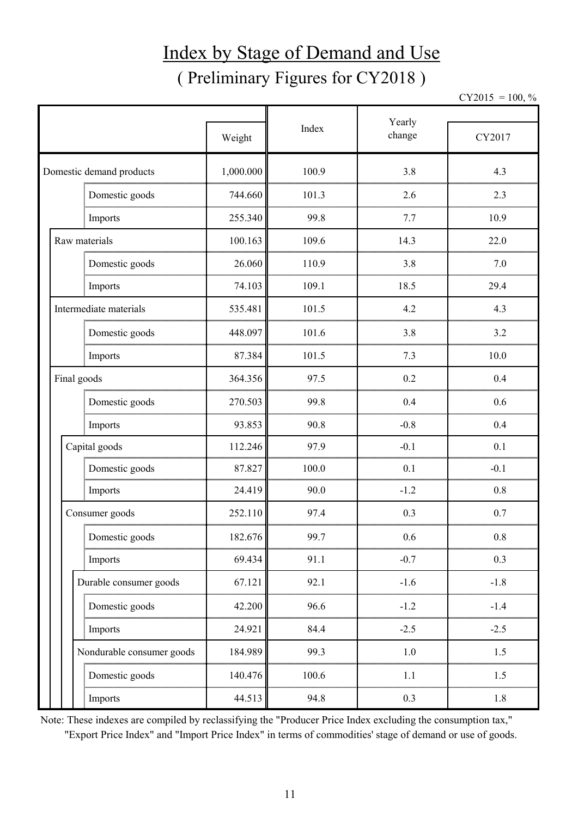# Index by Stage of Demand and Use ( Preliminary Figures for CY2018 )

 $CY2015 = 100, \%$ 

|                           |           |       | Yearly |        |  |
|---------------------------|-----------|-------|--------|--------|--|
|                           | Weight    | Index | change | CY2017 |  |
| Domestic demand products  | 1,000.000 | 100.9 | 3.8    | 4.3    |  |
| Domestic goods            | 744.660   | 101.3 | 2.6    | 2.3    |  |
| Imports                   | 255.340   | 99.8  | 7.7    | 10.9   |  |
| Raw materials             | 100.163   | 109.6 | 14.3   | 22.0   |  |
| Domestic goods            | 26.060    | 110.9 | 3.8    | 7.0    |  |
| Imports                   | 74.103    | 109.1 | 18.5   | 29.4   |  |
| Intermediate materials    | 535.481   | 101.5 | 4.2    | 4.3    |  |
| Domestic goods            | 448.097   | 101.6 | 3.8    | 3.2    |  |
| Imports                   | 87.384    | 101.5 | 7.3    | 10.0   |  |
| Final goods               | 364.356   | 97.5  | 0.2    | 0.4    |  |
| Domestic goods            | 270.503   | 99.8  | 0.4    | 0.6    |  |
| Imports                   | 93.853    | 90.8  | $-0.8$ | 0.4    |  |
| Capital goods             | 112.246   | 97.9  | $-0.1$ | 0.1    |  |
| Domestic goods            | 87.827    | 100.0 | 0.1    | $-0.1$ |  |
| Imports                   | 24.419    | 90.0  | $-1.2$ | 0.8    |  |
| Consumer goods            | 252.110   | 97.4  | 0.3    | 0.7    |  |
| Domestic goods            | 182.676   | 99.7  | 0.6    | 0.8    |  |
| Imports                   | 69.434    | 91.1  | $-0.7$ | 0.3    |  |
| Durable consumer goods    | 67.121    | 92.1  | $-1.6$ | $-1.8$ |  |
| Domestic goods            | 42.200    | 96.6  | $-1.2$ | $-1.4$ |  |
| Imports                   | 24.921    | 84.4  | $-2.5$ | $-2.5$ |  |
| Nondurable consumer goods | 184.989   | 99.3  | 1.0    | 1.5    |  |
| Domestic goods            | 140.476   | 100.6 | 1.1    | 1.5    |  |
| Imports                   | 44.513    | 94.8  | 0.3    | 1.8    |  |

Note: These indexes are compiled by reclassifying the "Producer Price Index excluding the consumption tax," "Export Price Index" and "Import Price Index" in terms of commodities' stage of demand or use of goods.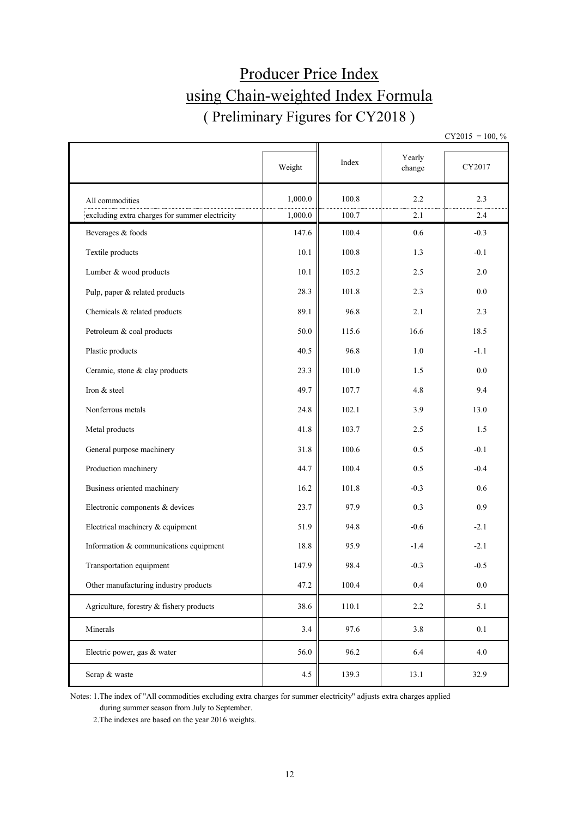## Producer Price Index using Chain-weighted Index Formula ( Preliminary Figures for CY2018 )

 $CY2015 = 100, \%$ 

|                                                | Weight  | Index | Yearly<br>change | CY2017  |
|------------------------------------------------|---------|-------|------------------|---------|
| All commodities                                | 1,000.0 | 100.8 | 2.2              | 2.3     |
| excluding extra charges for summer electricity | 1,000.0 | 100.7 | 2.1              | 2.4     |
| Beverages & foods                              | 147.6   | 100.4 | 0.6              | $-0.3$  |
| Textile products                               | 10.1    | 100.8 | 1.3              | $-0.1$  |
| Lumber & wood products                         | 10.1    | 105.2 | 2.5              | 2.0     |
| Pulp, paper & related products                 | 28.3    | 101.8 | 2.3              | 0.0     |
| Chemicals & related products                   | 89.1    | 96.8  | 2.1              | 2.3     |
| Petroleum & coal products                      | 50.0    | 115.6 | 16.6             | 18.5    |
| Plastic products                               | 40.5    | 96.8  | 1.0              | $-1.1$  |
| Ceramic, stone & clay products                 | 23.3    | 101.0 | 1.5              | 0.0     |
| Iron & steel                                   | 49.7    | 107.7 | 4.8              | 9.4     |
| Nonferrous metals                              | 24.8    | 102.1 | 3.9              | 13.0    |
| Metal products                                 | 41.8    | 103.7 | 2.5              | 1.5     |
| General purpose machinery                      | 31.8    | 100.6 | 0.5              | $-0.1$  |
| Production machinery                           | 44.7    | 100.4 | 0.5              | $-0.4$  |
| Business oriented machinery                    | 16.2    | 101.8 | $-0.3$           | 0.6     |
| Electronic components & devices                | 23.7    | 97.9  | 0.3              | 0.9     |
| Electrical machinery & equipment               | 51.9    | 94.8  | $-0.6$           | $-2.1$  |
| Information & communications equipment         | 18.8    | 95.9  | $-1.4$           | $-2.1$  |
| Transportation equipment                       | 147.9   | 98.4  | $-0.3$           | $-0.5$  |
| Other manufacturing industry products          | 47.2    | 100.4 | 0.4              | $0.0\,$ |
| Agriculture, forestry & fishery products       | 38.6    | 110.1 | 2.2              | 5.1     |
| Minerals                                       | 3.4     | 97.6  | 3.8              | 0.1     |
| Electric power, gas & water                    | 56.0    | 96.2  | 6.4              | 4.0     |
| Scrap & waste                                  | 4.5     | 139.3 | 13.1             | 32.9    |

Notes: 1.The index of "All commodities excluding extra charges for summer electricity" adjusts extra charges applied during summer season from July to September.

2.The indexes are based on the year 2016 weights.